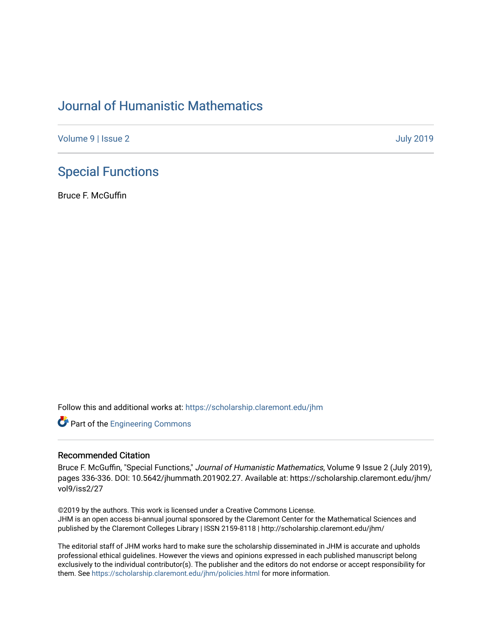## [Journal of Humanistic Mathematics](https://scholarship.claremont.edu/jhm)

[Volume 9](https://scholarship.claremont.edu/jhm/vol9) | [Issue 2](https://scholarship.claremont.edu/jhm/vol9/iss2) [July 2019](https://scholarship.claremont.edu/jhm/vol9/iss2) 

## [Special Functions](https://scholarship.claremont.edu/jhm/vol9/iss2/27)

Bruce F. McGuffin

Follow this and additional works at: [https://scholarship.claremont.edu/jhm](https://scholarship.claremont.edu/jhm?utm_source=scholarship.claremont.edu%2Fjhm%2Fvol9%2Fiss2%2F27&utm_medium=PDF&utm_campaign=PDFCoverPages)

**Part of the [Engineering Commons](http://network.bepress.com/hgg/discipline/217?utm_source=scholarship.claremont.edu%2Fjhm%2Fvol9%2Fiss2%2F27&utm_medium=PDF&utm_campaign=PDFCoverPages)** 

## Recommended Citation

Bruce F. McGuffin, "Special Functions," Journal of Humanistic Mathematics, Volume 9 Issue 2 (July 2019), pages 336-336. DOI: 10.5642/jhummath.201902.27. Available at: https://scholarship.claremont.edu/jhm/ vol9/iss2/27

©2019 by the authors. This work is licensed under a Creative Commons License. JHM is an open access bi-annual journal sponsored by the Claremont Center for the Mathematical Sciences and published by the Claremont Colleges Library | ISSN 2159-8118 | http://scholarship.claremont.edu/jhm/

The editorial staff of JHM works hard to make sure the scholarship disseminated in JHM is accurate and upholds professional ethical guidelines. However the views and opinions expressed in each published manuscript belong exclusively to the individual contributor(s). The publisher and the editors do not endorse or accept responsibility for them. See<https://scholarship.claremont.edu/jhm/policies.html> for more information.